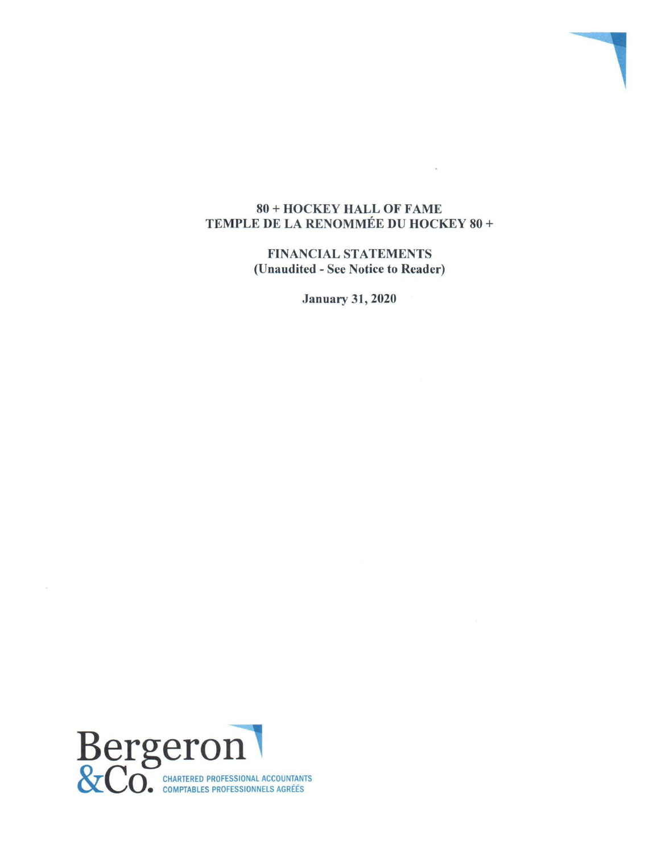### 80 + HOCKEY HALL OF FAME TEMPLE DE LA RENOMMÉE DU HOCKEY 80 +

FINANCIAL STATEMENTS (Unaudited **-** See Notice to Reader)

January 31, 2020

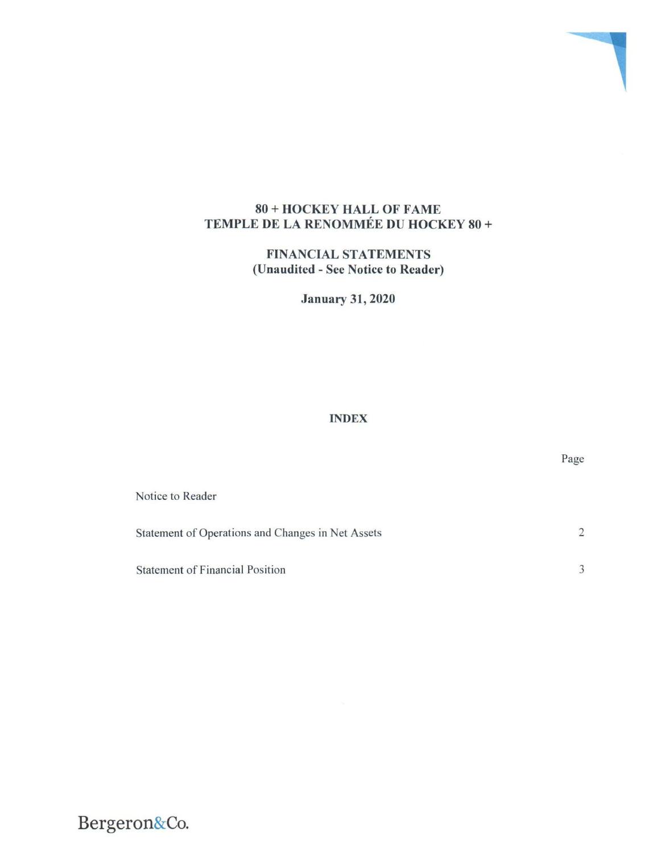## 80 + HOCKEY HALL OF FAME TEMPLE DE LA RENOMMÉE DU HOCKEY 80 +

FINANCIAL STATEMENTS **(Unaudited -** See Notice to Reader)

January 31, 2020

# INDEX

| Notice to Reader                                  |               |
|---------------------------------------------------|---------------|
| Statement of Operations and Changes in Net Assets | $\mathcal{D}$ |
| <b>Statement of Financial Position</b>            |               |

Page

# **Bergeron&Co.**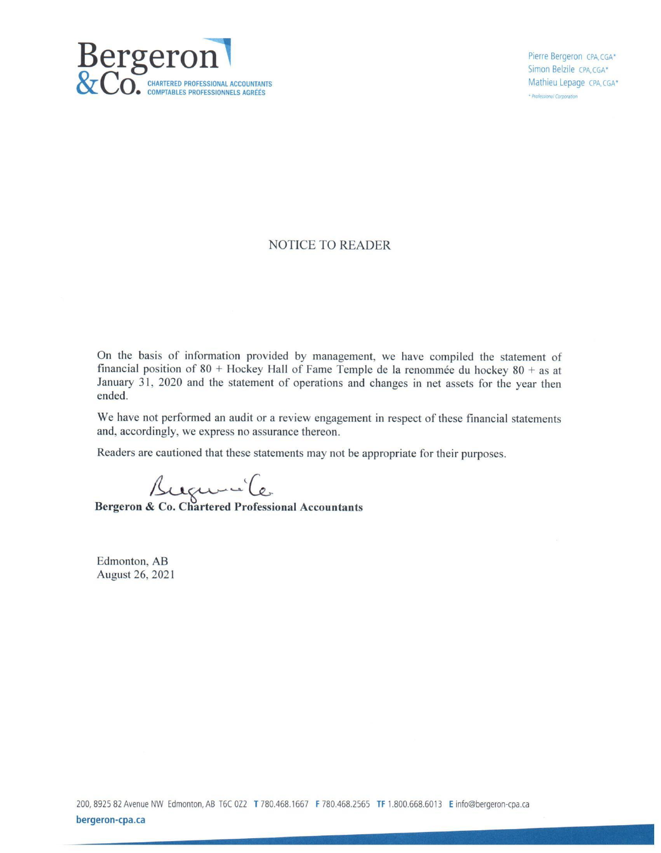

Mathieu Lepage CPA, CGA\* \* Professional Corporation

#### NOTICE TO READER

On the basis of information provided by management, we have compiled the statement of financial position of  $80 +$  Hockey Hall of Fame Temple de la renommée du hockey  $80 +$  as at January 31, 2020 and the statement of operations and changes in net assets for the year then ended.

We have not performed an audit or a review engagement in respect of these financial statements and, accordingly, we express no assurance thereon.

Readers are cautioned that these statements may not be appropriate for their purposes.

**Bergeron & Co. Chartered Professional Accountants** 

Edmonton, AB August 26, 2021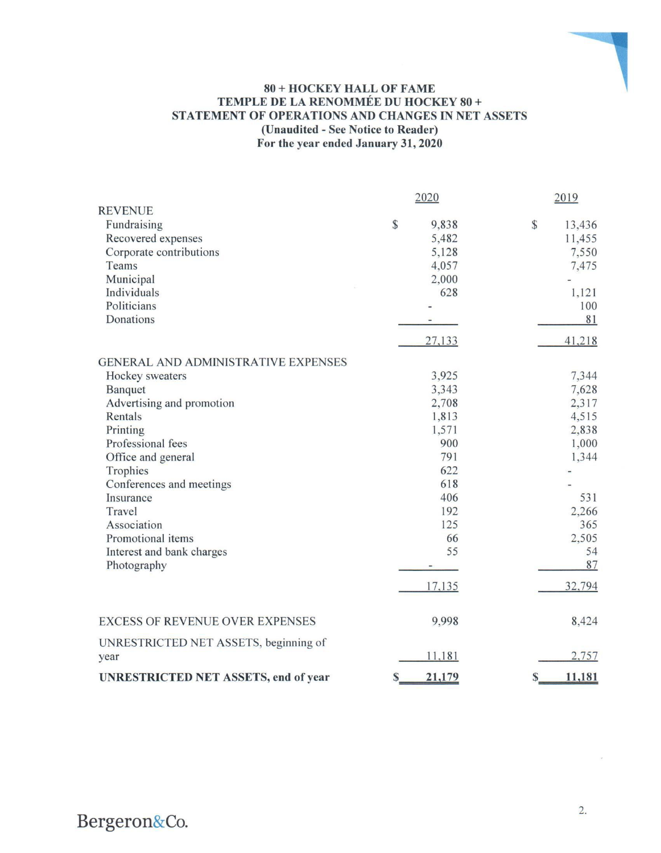### **80 + HOCKEY HALL OF FAME TEMPLE DE LA RENOMMÉE DU HOCKEY 80 + STATEMENT OF OPERATIONS AND CHANGES IN NET ASSETS (Unaudited - See Notice to Reader) For the year ended January 31, 2020**

|                                             | 2020 |        |                        |
|---------------------------------------------|------|--------|------------------------|
| <b>REVENUE</b>                              |      |        |                        |
| Fundraising                                 | \$   | 9,838  | $\mathbb{S}$<br>13,436 |
| Recovered expenses                          |      | 5,482  | 11,455                 |
| Corporate contributions                     |      | 5,128  | 7,550                  |
| Teams                                       |      | 4,057  | 7,475                  |
| Municipal                                   |      | 2,000  |                        |
| Individuals                                 |      | 628    | 1,121                  |
| Politicians                                 |      |        | 100                    |
| Donations                                   |      |        | 81                     |
|                                             |      | 27,133 | 41,218                 |
| <b>GENERAL AND ADMINISTRATIVE EXPENSES</b>  |      |        |                        |
| Hockey sweaters                             |      | 3,925  | 7,344                  |
| Banquet                                     |      | 3,343  | 7,628                  |
| Advertising and promotion                   |      | 2,708  | 2,317                  |
| Rentals                                     |      | 1,813  | 4,515                  |
| Printing                                    |      | 1,571  | 2,838                  |
| Professional fees                           |      | 900    | 1,000                  |
| Office and general                          |      | 791    | 1,344                  |
| Trophies                                    |      | 622    |                        |
| Conferences and meetings                    |      | 618    |                        |
| Insurance                                   |      | 406    | 531                    |
| Travel                                      |      | 192    | 2,266                  |
| Association                                 |      | 125    | 365                    |
| Promotional items                           |      | 66     | 2,505                  |
| Interest and bank charges                   |      | 55     | 54                     |
| Photography                                 |      |        | 87                     |
|                                             |      | 17,135 | 32,794                 |
| <b>EXCESS OF REVENUE OVER EXPENSES</b>      |      | 9,998  | 8,424                  |
| UNRESTRICTED NET ASSETS, beginning of       |      |        |                        |
| year                                        |      | 11,181 | 2,757                  |
| <b>UNRESTRICTED NET ASSETS, end of year</b> | S    | 21,179 | 11,181<br>S            |